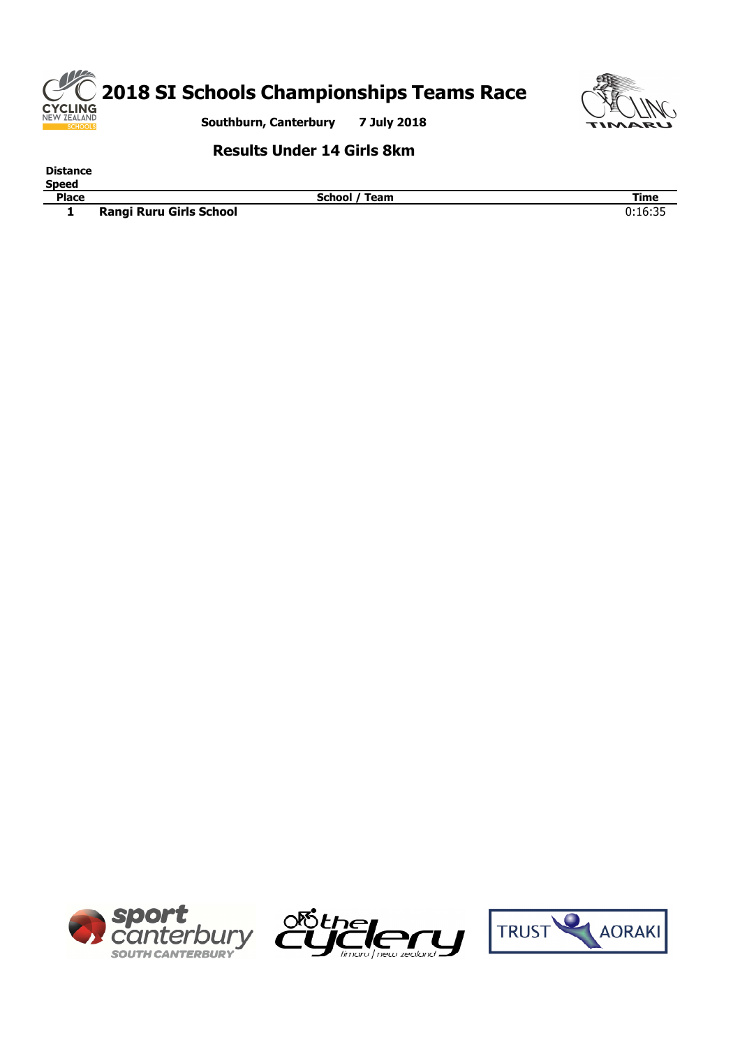



**Results Under 14 Girls 8km**

**Distance**

**Speed**

**Phace Place Place Place Place Place Place Place Place Place Place Place Place Place Place Place Place Place Place Place Place Place Place Place Place Place Place Place Rangi Ruru Girls School** 





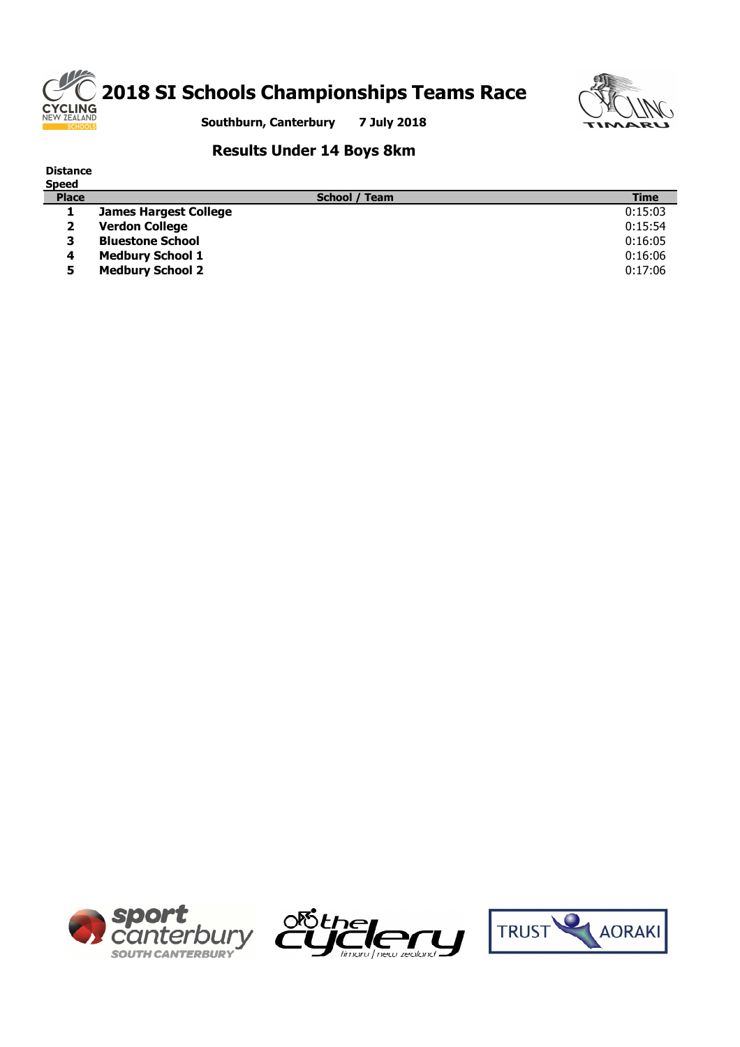



**Southburn, Canterbury 7 July 2018**

### **Results Under 14 Boys 8km**

| <b>Distance</b><br><b>Speed</b> |                              |                      |             |
|---------------------------------|------------------------------|----------------------|-------------|
| <b>Place</b>                    |                              | <b>School / Team</b> | <b>Time</b> |
|                                 | <b>James Hargest College</b> |                      | 0:15:03     |
| 2                               | <b>Verdon College</b>        |                      | 0:15:54     |
| 3                               | <b>Bluestone School</b>      |                      | 0:16:05     |
| 4                               | <b>Medbury School 1</b>      |                      | 0:16:06     |
| 5                               | <b>Medbury School 2</b>      |                      | 0:17:06     |





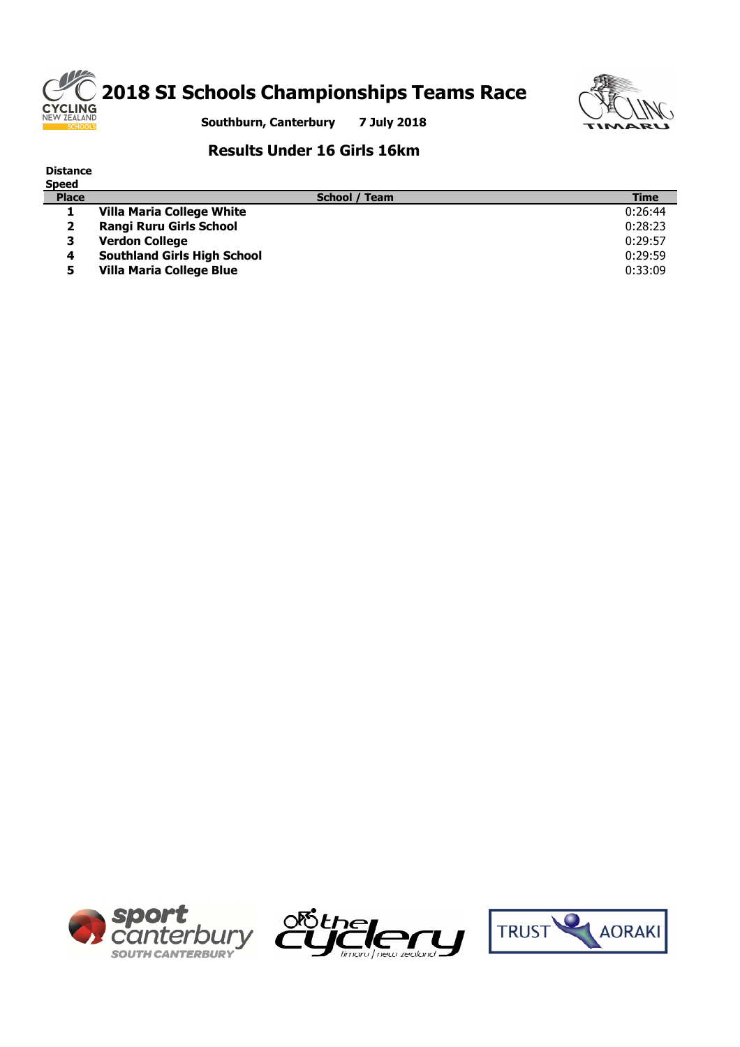



**Southburn, Canterbury 7 July 2018**

### **Results Under 16 Girls 16km**

**4 Southland Girls High School** 0:29:59 **5 Villa Maria College Blue** 0:33:09

| <b>Distance</b> |                                  |             |
|-----------------|----------------------------------|-------------|
| <b>Speed</b>    |                                  |             |
| <b>Place</b>    | School / Team                    | <b>Time</b> |
|                 | <b>Villa Maria College White</b> | 0:26:44     |
|                 | <b>Rangi Ruru Girls School</b>   | 0:28:23     |
|                 | <b>Verdon College</b>            | 0:29:57     |





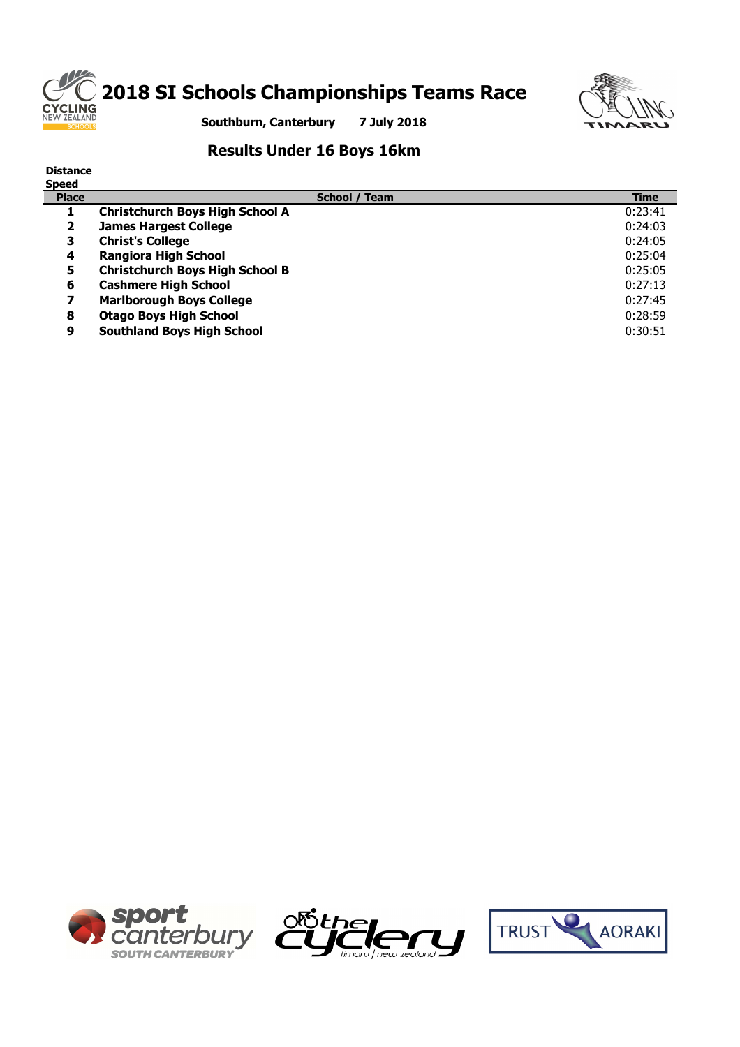

# **2018 SI Schools Championships Teams Race**



**Southburn, Canterbury 7 July 2018**

### **Results Under 16 Boys 16km**

| <b>Distance</b><br><b>Speed</b> |                                        |             |
|---------------------------------|----------------------------------------|-------------|
| <b>Place</b>                    | School / Team                          | <b>Time</b> |
|                                 | <b>Christchurch Boys High School A</b> | 0:23:41     |
| $\overline{\mathbf{2}}$         | <b>James Hargest College</b>           | 0:24:03     |
| 3                               | <b>Christ's College</b>                | 0:24:05     |
| 4                               | <b>Rangiora High School</b>            | 0:25:04     |
| 5                               | <b>Christchurch Boys High School B</b> | 0:25:05     |
| 6                               | <b>Cashmere High School</b>            | 0:27:13     |
| 7                               | <b>Marlborough Boys College</b>        | 0:27:45     |
| 8                               | <b>Otago Boys High School</b>          | 0:28:59     |
| 9                               | <b>Southland Boys High School</b>      | 0:30:51     |





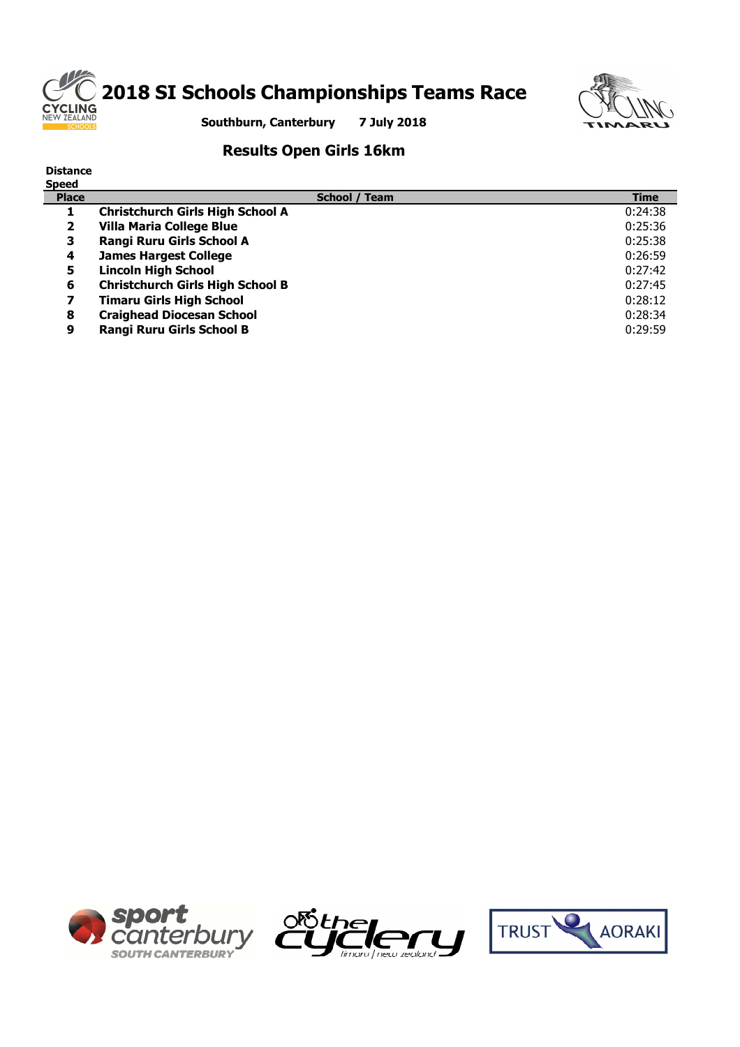

# **2018 SI Schools Championships Teams Race**



**Southburn, Canterbury 7 July 2018**

### **Results Open Girls 16km**

| <b>Distance</b><br><b>Speed</b> |                                         |             |
|---------------------------------|-----------------------------------------|-------------|
| <b>Place</b>                    | School / Team                           | <b>Time</b> |
|                                 | <b>Christchurch Girls High School A</b> | 0:24:38     |
| 2                               | <b>Villa Maria College Blue</b>         | 0:25:36     |
| з                               | Rangi Ruru Girls School A               | 0:25:38     |
| 4                               | <b>James Hargest College</b>            | 0:26:59     |
| 5                               | <b>Lincoln High School</b>              | 0:27:42     |
| 6                               | <b>Christchurch Girls High School B</b> | 0:27:45     |
| 7                               | <b>Timaru Girls High School</b>         | 0:28:12     |
| 8                               | <b>Craighead Diocesan School</b>        | 0:28:34     |
| 9                               | <b>Rangi Ruru Girls School B</b>        | 0:29:59     |